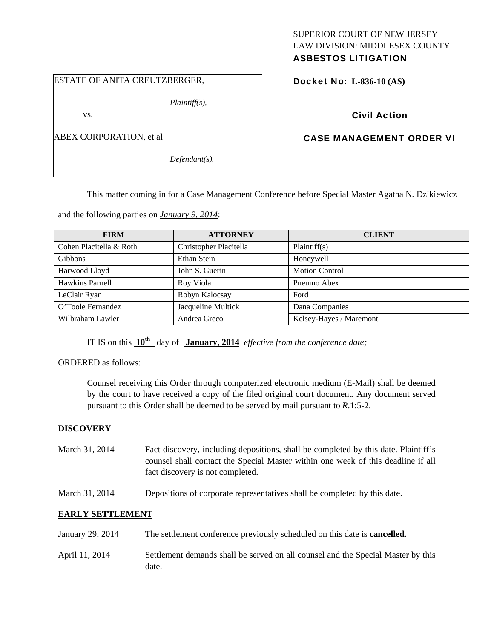# SUPERIOR COURT OF NEW JERSEY LAW DIVISION: MIDDLESEX COUNTY

# ASBESTOS LITIGATION

#### ESTATE OF ANITA CREUTZBERGER,

*Plaintiff(s),* 

vs.

ABEX CORPORATION, et al

*Defendant(s).* 

Docket No: **L-836-10 (AS)** 

# Civil Action

### CASE MANAGEMENT ORDER VI

This matter coming in for a Case Management Conference before Special Master Agatha N. Dzikiewicz

and the following parties on *January 9, 2014*:

| <b>FIRM</b>             | <b>ATTORNEY</b>        | <b>CLIENT</b>           |
|-------------------------|------------------------|-------------------------|
| Cohen Placitella & Roth | Christopher Placitella | Plaintiff(s)            |
| <b>Gibbons</b>          | Ethan Stein            | Honeywell               |
| Harwood Lloyd           | John S. Guerin         | <b>Motion Control</b>   |
| Hawkins Parnell         | Roy Viola              | Pneumo Abex             |
| LeClair Ryan            | Robyn Kalocsay         | Ford                    |
| O'Toole Fernandez       | Jacqueline Multick     | Dana Companies          |
| Wilbraham Lawler        | Andrea Greco           | Kelsey-Hayes / Maremont |

IT IS on this **10th** day of **January, 2014** *effective from the conference date;*

ORDERED as follows:

Counsel receiving this Order through computerized electronic medium (E-Mail) shall be deemed by the court to have received a copy of the filed original court document. Any document served pursuant to this Order shall be deemed to be served by mail pursuant to *R*.1:5-2.

#### **DISCOVERY**

- March 31, 2014 Fact discovery, including depositions, shall be completed by this date. Plaintiff's counsel shall contact the Special Master within one week of this deadline if all fact discovery is not completed.
- March 31, 2014 Depositions of corporate representatives shall be completed by this date.

#### **EARLY SETTLEMENT**

January 29, 2014 The settlement conference previously scheduled on this date is **cancelled**. April 11, 2014 Settlement demands shall be served on all counsel and the Special Master by this date.